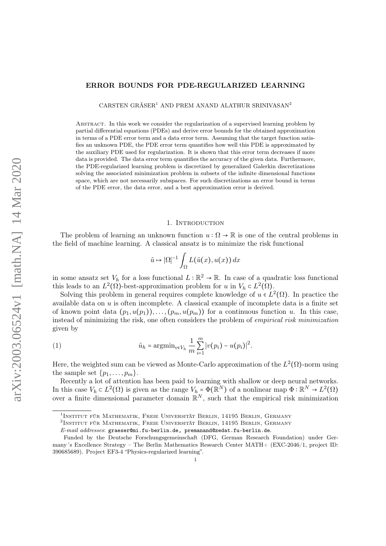### ERROR BOUNDS FOR PDE-REGULARIZED LEARNING

CARSTEN GRÄSER<sup>1</sup> AND PREM ANAND ALATHUR SRINIVASAN<sup>2</sup>

Abstract. In this work we consider the regularization of a supervised learning problem by partial differential equations (PDEs) and derive error bounds for the obtained approximation in terms of a PDE error term and a data error term. Assuming that the target function satisfies an unknown PDE, the PDE error term quantifies how well this PDE is approximated by the auxiliary PDE used for regularization. It is shown that this error term decreases if more data is provided. The data error term quantifies the accuracy of the given data. Furthermore, the PDE-regularized learning problem is discretized by generalized Galerkin discretizations solving the associated minimization problem in subsets of the infinite dimensional functions space, which are not necessarily subspaces. For such discretizations an error bound in terms of the PDE error, the data error, and a best approximation error is derived.

### 1. INTRODUCTION

The problem of learning an unknown function  $u : \Omega \to \mathbb{R}$  is one of the central problems in the field of machine learning. A classical ansatz is to minimize the risk functional

$$
\tilde{u} \mapsto |\Omega|^{-1} \int_{\Omega} L(\tilde{u}(x), u(x)) dx
$$

in some ansatz set  $V_h$  for a loss functional  $L : \mathbb{R}^2 \to \mathbb{R}$ . In case of a quadratic loss functional this leads to an  $L^2(\Omega)$ -best-approximation problem for u in  $V_h \subset L^2(\Omega)$ .<br>Solving this problem in general positive complete linear ledge of  $\omega \in L^2(\Omega)$ .

Solving this problem in general requires complete knowledge of  $u \in L^2(\Omega)$ . In practice the silable data on u is often incomplete. A classical symple of incomplete data is a finite set available data on  $u$  is often incomplete. A classical example of incomplete data is a finite set of known point data  $(p_1, u(p_1)), \ldots, (p_m, u(p_m))$  for a continuous function u. In this case, instead of minimizing the risk, one often considers the problem of *empirical risk minimization* given by

<span id="page-0-0"></span>(1) 
$$
\tilde{u}_h = \operatorname{argmin}_{v \in V_h} \frac{1}{m} \sum_{i=1}^m |v(p_i) - u(p_i)|^2.
$$

Here, the weighted sum can be viewed as Monte-Carlo approximation of the  $L^2(\Omega)$ -norm using the sample set  $\{p_1, \ldots, p_m\}.$ 

Recently a lot of attention has been paid to learning with shallow or deep neural networks. In this case  $V_h \subset L^2(\Omega)$  is given as the range  $V_h = \Phi(\mathbb{R}^N)$  of a nonlinear map  $\Phi : \mathbb{R}^N \to L^2(\Omega)$ over a finite dimensional parameter domain  $\mathbb{R}^N$ , such that the empirical risk minimization

<sup>&</sup>lt;sup>1</sup> Institut für Mathematik, Freie Universität Berlin, 14195 Berlin, Germany

<sup>2</sup> Institut für Mathematik, Freie Universität Berlin, 14195 Berlin, Germany

E-mail addresses: graeser@mi.fu-berlin.de, premanand@zedat.fu-berlin.de.

Funded by the Deutsche Forschungsgemeinschaft (DFG, German Research Foundation) under Germany´s Excellence Strategy – The Berlin Mathematics Research Center MATH+ (EXC-2046/1, project ID: 390685689). Project EF3-4 "Physics-regularized learning".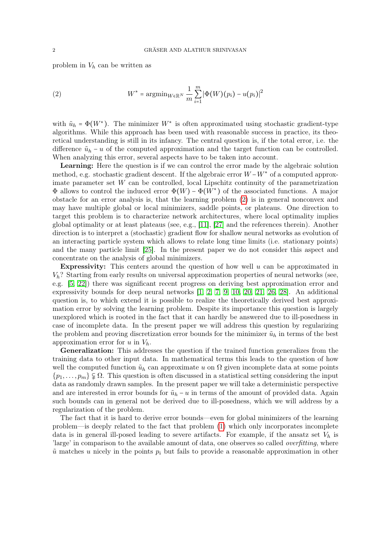problem in  $V_h$  can be written as

<span id="page-1-0"></span>(2) 
$$
W^* = \operatorname{argmin}_{W \in \mathbb{R}^N} \frac{1}{m} \sum_{i=1}^m |\Phi(W)(p_i) - u(p_i)|^2
$$

with  $\tilde{u}_h = \Phi(W^*)$ . The minimizer  $W^*$  is often approximated using stochastic gradient-type algorithms. While this approach has been used with reasonable success in practice, its theoretical understanding is still in its infancy. The central question is, if the total error, i.e. the difference  $\tilde{u}_h - u$  of the computed approximation and the target function can be controlled. When analyzing this error, several aspects have to be taken into account.

Learning: Here the question is if we can control the error made by the algebraic solution method, e.g. stochastic gradient descent. If the algebraic error  $W-W^*$  of a computed approximate parameter set  $W$  can be controlled, local Lipschitz continuity of the parametrization  $\Phi$  allows to control the induced error  $\Phi(W) - \Phi(W^*)$  of the associated functions. A major obstacle for an error analysis is, that the learning problem [\(2\)](#page-1-0) is in general nonconvex and may have multiple global or local minimizers, saddle points, or plateaus. One direction to target this problem is to characterize network architectures, where local optimality implies global optimality or at least plateaus (see, e.g., [\[11\]](#page-19-0), [\[27\]](#page-19-1) and the references therein). Another direction is to interpret a (stochastic) gradient flow for shallow neural networks as evolution of an interacting particle system which allows to relate long time limits (i.e. stationary points) and the many particle limit [\[25\]](#page-19-2). In the present paper we do not consider this aspect and concentrate on the analysis of global minimizers.

**Expressivity:** This centers around the question of how well  $u$  can be approximated in  $V<sub>h</sub>$ ? Starting from early results on universal approximation properties of neural networks (see, e.g. [\[5,](#page-19-3) [22\]](#page-19-4)) there was significant recent progress on deriving best approximation error and expressivity bounds for deep neural networks [\[1,](#page-18-0) [2,](#page-18-1) [7,](#page-19-5) [9,](#page-19-6) [10,](#page-19-7) [20,](#page-19-8) [21,](#page-19-9) [26,](#page-19-10) [28\]](#page-19-11). An additional question is, to which extend it is possible to realize the theoretically derived best approximation error by solving the learning problem. Despite its importance this question is largely unexplored which is rooted in the fact that it can hardly be answered due to ill-posedness in case of incomplete data. In the present paper we will address this question by regularizing the problem and proving discretization error bounds for the minimizer  $\tilde{u}_h$  in terms of the best approximation error for  $u$  in  $V_h$ .

Generalization: This addresses the question if the trained function generalizes from the training data to other input data. In mathematical terms this leads to the question of how well the computed function  $\tilde{u}_h$  can approximate u on  $\Omega$  given incomplete data at some points  $\{p_1,\ldots,p_m\}\subsetneq\Omega$ . This question is often discussed in a statistical setting considering the input data as randomly drawn samples. In the present paper we will take a deterministic perspective and are interested in error bounds for  $\tilde{u}_h - u$  in terms of the amount of provided data. Again such bounds can in general not be derived due to ill-posedness, which we will address by a regularization of the problem.

The fact that it is hard to derive error bounds—even for global minimizers of the learning problem—is deeply related to the fact that problem [\(1\)](#page-0-0) which only incorporates incomplete data is in general ill-posed leading to severe artifacts. For example, if the ansatz set  $V_h$  is 'large' in comparison to the available amount of data, one observes so called *overfitting*, where  $\tilde{u}$  matches u nicely in the points  $p_i$  but fails to provide a reasonable approximation in other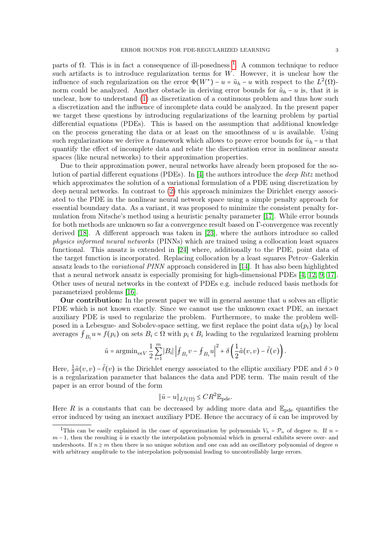parts of Ω. This is in fact a consequence of ill-posedness<sup>[1](#page-2-0)</sup>. A common technique to reduce such artifacts is to introduce regularization terms for  $W$ . However, it is unclear how the influence of such regularization on the error  $\Phi(W^*) - u = \tilde{u}_h - u$  with respect to the  $L^2(\Omega)$ -<br>norm sould be analyzed. Another aktuals in deriving error have a fan  $\tilde{v}$  and is that it is norm could be analyzed. Another obstacle in deriving error bounds for  $\tilde{u}_h - u$  is, that it is unclear, how to understand [\(1\)](#page-0-0) as discretization of a continuous problem and thus how such a discretization and the influence of incomplete data could be analyzed. In the present paper we target these questions by introducing regularizations of the learning problem by partial differential equations (PDEs). This is based on the assumption that additional knowledge on the process generating the data or at least on the smoothness of  $u$  is available. Using such regularizations we derive a framework which allows to prove error bounds for  $\tilde{u}_h - u$  that quantify the effect of incomplete data and relate the discretization error in nonlinear ansatz spaces (like neural networks) to their approximation properties.

Due to their approximation power, neural networks have already been proposed for the so-lution of partial different equations (PDEs). In [\[4\]](#page-19-12) the authors introduce the *deep Ritz* method which approximates the solution of a variational formulation of a PDE using discretization by deep neural networks. In contrast to [\(2\)](#page-1-0) this approach minimizes the Dirichlet energy associated to the PDE in the nonlinear neural network space using a simple penalty approach for essential boundary data. As a variant, it was proposed to minimize the consistent penalty formulation from Nitsche's method using a heuristic penalty parameter [\[17\]](#page-19-13). While error bounds for both methods are unknown so far a convergence result based on Γ-convergence was recently derived [\[18\]](#page-19-14). A different approach was taken in [\[23\]](#page-19-15), where the authors introduce so called physics informed neural networks (PINNs) which are trained using a collocation least squares functional. This ansatz is extended in [\[24\]](#page-19-16) where, additionally to the PDE, point data of the target function is incorporated. Replacing collocation by a least squares Petrov–Galerkin ansatz leads to the variational PINN approach considered in [\[14\]](#page-19-17). It has also been highlighted that a neural network ansatz is especially promising for high-dimensional PDEs [\[4,](#page-19-12) [12,](#page-19-18) [9,](#page-19-6) [17\]](#page-19-13). Other uses of neural networks in the context of PDEs e.g. include reduced basis methods for parametrized problems [\[16\]](#page-19-19).

**Our contribution:** In the present paper we will in general assume that  $u$  solves an elliptic PDE which is not known exactly. Since we cannot use the unknown exact PDE, an inexact auxiliary PDE is used to regularize the problem. Furthermore, to make the problem wellposed in a Lebesgue- and Sobolev-space setting, we first replace the point data  $u(p_i)$  by local averages  $f_{B_i} u \approx f(p_i)$  on sets  $B_i \subset \Omega$  with  $p_i \in B_i$  leading to the regularized learning problem

$$
\tilde{u} = \operatorname{argmin}_{v \in V} \frac{1}{2} \sum_{i=1}^{m} |B_i| \left| \int_{B_i} v - \int_{B_i} u \right|^2 + \delta \left( \frac{1}{2} \tilde{a}(v, v) - \tilde{\ell}(v) \right).
$$

Here,  $\frac{1}{2}\tilde{a}(v, v) - \tilde{\ell}(v)$  is the Dirichlet energy associated to the elliptic auxiliary PDE and  $\delta > 0$ is a regularization parameter that balances the data and PDE term. The main result of the paper is an error bound of the form

$$
\|\tilde{u} - u\|_{L^2(\Omega)} \leq CR^2 \mathbb{E}_{\text{pde}}.
$$

Here R is a constants that can be decreased by adding more data and  $\mathbb{E}_{pde}$  quantifies the error induced by using an inexact auxiliary PDE. Hence the accuracy of  $\tilde{u}$  can be improved by

<span id="page-2-0"></span><sup>&</sup>lt;sup>1</sup>This can be easily explained in the case of approximation by polynomials  $V_h = \mathcal{P}_n$  of degree n. If n =  $m-1$ , then the resulting  $\tilde{u}$  is exactly the interpolation polynomial which in general exhibits severe over- and undershoots. If  $n \geq m$  then there is no unique solution and one can add an oscillatory polynomial of degree n with arbitrary amplitude to the interpolation polynomial leading to uncontrollably large errors.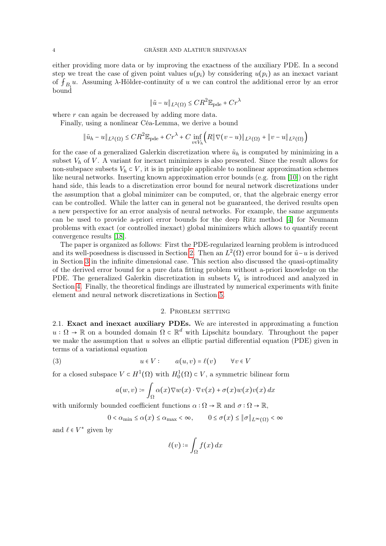either providing more data or by improving the exactness of the auxiliary PDE. In a second step we treat the case of given point values  $u(p_i)$  by considering  $u(p_i)$  as an inexact variant of  $f_{B_i}u$ . Assuming  $\lambda$ -Hölder-continuity of u we can control the additional error by an error bound

$$
\|\tilde{u} - u\|_{L^2(\Omega)} \le C R^2 \mathbb{E}_{\text{pde}} + Cr^{\lambda}
$$

where  $r$  can again be decreased by adding more data.

Finally, using a nonlinear Céa-Lemma, we derive a bound

$$
\|\tilde{u}_h - u\|_{L^2(\Omega)} \le C R^2 \mathbb{E}_{\text{pde}} + C r^{\lambda} + C \inf_{v \in V_h} \left( R \|\nabla (v - u)\|_{L^2(\Omega)} + \|v - u\|_{L^2(\Omega)} \right)
$$

for the case of a generalized Galerkin discretization where  $\tilde{u}_h$  is computed by minimizing in a subset  $V_h$  of V. A variant for inexact minimizers is also presented. Since the result allows for non-subspace subsets  $V_h \subset V$ , it is in principle applicable to nonlinear approximation schemes like neural networks. Inserting known approximation error bounds (e.g. from [\[10\]](#page-19-7)) on the right hand side, this leads to a discretization error bound for neural network discretizations under the assumption that a global minimizer can be computed, or, that the algebraic energy error can be controlled. While the latter can in general not be guaranteed, the derived results open a new perspective for an error analysis of neural networks. For example, the same arguments can be used to provide a-priori error bounds for the deep Ritz method [\[4\]](#page-19-12) for Neumann problems with exact (or controlled inexact) global minimizers which allows to quantify recent convergence results [\[18\]](#page-19-14).

The paper is organized as follows: First the PDE-regularized learning problem is introduced and its well-posedness is discussed in Section [2.](#page-3-0) Then an  $L^2(\Omega)$  error bound for  $\tilde{u}-u$  is derived in Section [3](#page-6-0) in the infinite dimensional case. This section also discussed the quasi-optimality of the derived error bound for a pure data fitting problem without a-priori knowledge on the PDE. The generalized Galerkin discretization in subsets  $V_h$  is introduced and analyzed in Section [4.](#page-12-0) Finally, the theoretical findings are illustrated by numerical experiments with finite element and neural network discretizations in Section [5.](#page-15-0)

### 2. Problem setting

<span id="page-3-0"></span>2.1. Exact and inexact auxiliary PDEs. We are interested in approximating a function  $u : \Omega \to \mathbb{R}$  on a bounded domain  $\Omega \subset \mathbb{R}^d$  with Lipschitz boundary. Throughout the paper we make the assumption that  $u$  solves an elliptic partial differential equation (PDE) given in terms of a variational equation

<span id="page-3-1"></span>(3) 
$$
u \in V: \qquad a(u,v) = \ell(v) \qquad \forall v \in V
$$

for a closed subspace  $V \subset H^1(\Omega)$  with  $H_0^1(\Omega) \subset V$ , a symmetric bilinear form

$$
a(w,v) \coloneqq \int_{\Omega} \alpha(x) \nabla w(x) \cdot \nabla v(x) + \sigma(x) w(x) v(x) dx
$$

with uniformly bounded coefficient functions  $\alpha : \Omega \to \mathbb{R}$  and  $\sigma : \Omega \to \mathbb{R}$ ,

$$
0 < \alpha_{\min} \le \alpha(x) \le \alpha_{\max} < \infty, \qquad 0 \le \sigma(x) \le \|\sigma\|_{L^{\infty}(\Omega)} < \infty
$$

and  $\ell \in V^*$  given by

$$
\ell(v) \coloneqq \int_{\Omega} f(x) \, dx
$$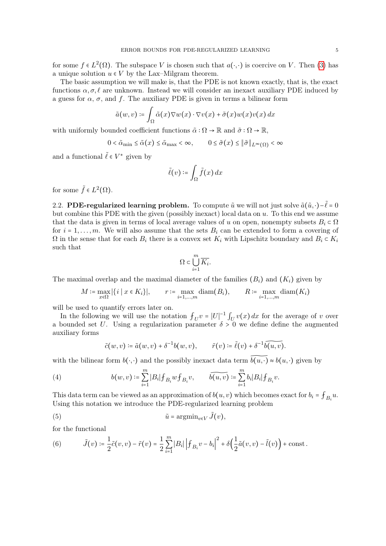for some  $f \in L^2(\Omega)$ . The subspace V is chosen such that  $a(\cdot, \cdot)$  is coercive on V. Then [\(3\)](#page-3-1) has a unique solution  $u \in V$  by the Lax–Milgram theorem.

The basic assumption we will make is, that the PDE is not known exactly, that is, the exact functions  $\alpha, \sigma, \ell$  are unknown. Instead we will consider an inexact auxiliary PDE induced by a guess for  $\alpha$ ,  $\sigma$ , and f. The auxiliary PDE is given in terms a bilinear form

$$
\tilde{a}(w,v) \coloneqq \int_{\Omega} \tilde{\alpha}(x) \nabla w(x) \cdot \nabla v(x) + \tilde{\sigma}(x) w(x) v(x) dx
$$

with uniformly bounded coefficient functions  $\tilde{\alpha} : \Omega \to \mathbb{R}$  and  $\tilde{\sigma} : \Omega \to \mathbb{R}$ ,

$$
0 < \tilde{\alpha}_{\min} \le \tilde{\alpha}(x) \le \tilde{\alpha}_{\max} < \infty, \qquad 0 \le \tilde{\sigma}(x) \le \|\tilde{\sigma}\|_{L^{\infty}(\Omega)} < \infty
$$

and a functional  $\tilde{\ell} \in V^*$  given by

$$
\tilde{\ell}(v) \coloneqq \int_{\Omega} \tilde{f}(x) \, dx
$$

for some  $\tilde{f} \in L^2(\Omega)$ .

2.2. PDE-regularized learning problem. To compute  $\tilde{u}$  we will not just solve  $\tilde{a}(\tilde{u}, \cdot) - \tilde{\ell} = 0$ but combine this PDE with the given (possibly inexact) local data on u. To this end we assume that the data is given in terms of local average values of u on open, nonempty subsets  $B_i \subset \Omega$ for  $i = 1, \ldots, m$ . We will also assume that the sets  $B_i$  can be extended to form a covering of  $\Omega$  in the sense that for each  $B_i$  there is a convex set  $K_i$  with Lipschitz boundary and  $B_i \subset K_i$ such that

$$
\Omega \subset \bigcup_{i=1}^m \overline{K_i}.
$$

The maximal overlap and the maximal diameter of the families  $(B_i)$  and  $(K_i)$  given by

$$
M \coloneqq \max_{x \in \Omega} |\{i \mid x \in K_i\}|, \qquad r \coloneqq \max_{i=1,\dots,m} \text{diam}(B_i), \qquad R \coloneqq \max_{i=1,\dots,m} \text{diam}(K_i)
$$

will be used to quantify errors later on.

In the following we will use the notation  $f_U v = |U|^{-1} \int_U v(x) dx$  for the average of v over a bounded set U. Using a regularization parameter  $\delta > 0$  we define define the augmented auxiliary forms

$$
\tilde{c}(w,v) \coloneqq \tilde{a}(w,v) + \delta^{-1}b(w,v), \qquad \tilde{r}(v) \coloneqq \tilde{\ell}(v) + \delta^{-1}\tilde{b(u,v)}.
$$

with the bilinear form  $b(\cdot, \cdot)$  and the possibly inexact data term  $\widetilde{b(u, \cdot)} \approx b(u, \cdot)$  given by

<span id="page-4-1"></span>(4) 
$$
b(w,v) \coloneqq \sum_{i=1}^{m} |B_i| f_{B_i} w f_{B_i} v, \qquad \widetilde{b(u,v)} \coloneqq \sum_{i=1}^{m} b_i |B_i| f_{B_i} v.
$$

This data term can be viewed as an approximation of  $b(u, v)$  which becomes exact for  $b_i = \int_{B_i} u$ . Using this notation we introduce the PDE-regularized learning problem

<span id="page-4-0"></span>(5) 
$$
\tilde{u} = \operatorname{argmin}_{v \in V} \tilde{J}(v),
$$

for the functional

<span id="page-4-2"></span>(6) 
$$
\tilde{J}(v) \coloneqq \frac{1}{2}\tilde{c}(v,v) - \tilde{r}(v) = \frac{1}{2}\sum_{i=1}^{m}|B_i|\left|f_{B_i}v - b_i\right|^2 + \delta\left(\frac{1}{2}\tilde{a}(v,v) - \tilde{l}(v)\right) + \text{const.}
$$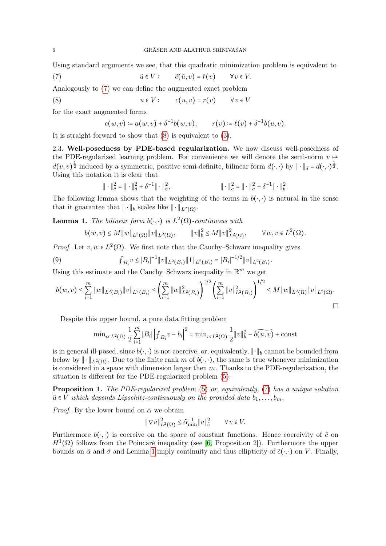Using standard arguments we see, that this quadratic minimization problem is equivalent to

<span id="page-5-0"></span>(7)  $\tilde{u} \in V: \qquad \tilde{c}(\tilde{u}, v) = \tilde{r}(v) \qquad \forall v \in V.$ 

Analogously to [\(7\)](#page-5-0) we can define the augmented exact problem

<span id="page-5-1"></span>(8) 
$$
u \in V: \qquad c(u,v) = r(v) \qquad \forall v \in V
$$

for the exact augmented forms

$$
c(w, v) \coloneqq a(w, v) + \delta^{-1}b(w, v), \qquad r(v) \coloneqq \ell(v) + \delta^{-1}b(u, v).
$$

It is straight forward to show that [\(8\)](#page-5-1) is equivalent to [\(3\)](#page-3-1).

2.3. Well-posedness by PDE-based regularization. We now discuss well-posedness of the PDE-regularized learning problem. For convenience we will denote the semi-norm  $v \mapsto$  $d(v, v)^{\frac{1}{2}}$  induced by a symmetric, positive semi-definite, bilinear form  $d(\cdot, \cdot)$  by  $\|\cdot\|_d = d(\cdot, \cdot)^{\frac{1}{2}}$ . Using this notation it is clear that

$$
\| \cdot \|_{\tilde{c}}^2 = \| \cdot \|_{\tilde{a}}^2 + \delta^{-1} \| \cdot \|_{b}^2, \qquad \| \cdot \|_{c}^2 = \| \cdot \|_{a}^2 + \delta^{-1} \| \cdot \|_{b}^2.
$$

The following lemma shows that the weighting of the terms in  $b(\cdot, \cdot)$  is natural in the sense that it guarantee that  $\|\cdot\|_b$  scales like  $\|\cdot\|_{L^2(\Omega)}$ .

<span id="page-5-2"></span>**Lemma 1.** The bilinear form  $b(\cdot, \cdot)$  is  $L^2(\Omega)$ -continuous with

$$
b(w, v) \le M \|w\|_{L^2(\Omega)} \|v\|_{L^2(\Omega)}, \qquad \|v\|_b^2 \le M \|v\|_{L^2(\Omega)}^2, \qquad \forall w, v \in L^2(\Omega).
$$

*Proof.* Let  $v, w \in L^2(\Omega)$ . We first note that the Cauchy–Schwarz inequality gives

(9) 
$$
\mathcal{f}_{B_i} v \leq |B_i|^{-1} \|v\|_{L^2(B_i)} \|1\|_{L^2(B_i)} = |B_i|^{-1/2} \|v\|_{L^2(B_i)}.
$$

Using this estimate and the Cauchy–Schwarz inequality in  $\mathbb{R}^m$  we get

$$
b(w,v) \leq \sum_{i=1}^{m} \|w\|_{L^{2}(B_{i})} \|v\|_{L^{2}(B_{i})} \leq \left(\sum_{i=1}^{m} \|w\|_{L^{2}(B_{i})}^{2}\right)^{1/2} \left(\sum_{i=1}^{m} \|v\|_{L^{2}(B_{i})}^{2}\right)^{1/2} \leq M \|w\|_{L^{2}(\Omega)} \|v\|_{L^{2}(\Omega)}.
$$

Despite this upper bound, a pure data fitting problem

$$
\mathrm{min}_{v\in L^{2}(\Omega)}\frac{1}{2}\sum_{i=1}^{m}\left|B_{i}\right|\left|f_{B_{i}}v-b_{i}\right|^{2}=\mathrm{min}_{v\in L^{2}(\Omega)}\frac{1}{2}\left\Vert v\right\Vert _{b}^{2}-\widetilde{b(u,v)}+\mathrm{const}
$$

is in general ill-posed, since  $b(\cdot, \cdot)$  is not coercive, or, equivalently,  $\|\cdot\|_b$  cannot be bounded from below by  $\|\cdot\|_{L^2(\Omega)}$ . Due to the finite rank m of  $b(\cdot, \cdot)$ , the same is true whenever minimization is considered in a space with dimension larger then  $m$ . Thanks to the PDE-regularization, the situation is different for the PDE-regularized problem [\(5\)](#page-4-0).

<span id="page-5-3"></span>Proposition 1. The PDE-regularized problem [\(5\)](#page-4-0) or, equivalently, [\(7\)](#page-5-0) has a unique solution  $\tilde{u} \in V$  which depends Lipschitz-continuously on the provided data  $b_1, \ldots, b_m$ .

*Proof.* By the lower bound on  $\tilde{\alpha}$  we obtain

$$
\|\nabla v\|_{L^2(\Omega)}^2 \le \tilde{\alpha}_{\min}^{-1} \|v\|_{\tilde{c}}^2 \qquad \forall v \in V.
$$

Furthermore  $b(\cdot, \cdot)$  is coercive on the space of constant functions. Hence coercivity of  $\tilde{c}$  on  $H^1(\Omega)$  follows from the Poincaré inequality (see [\[6,](#page-19-20) Proposition 2]). Furthermore the upper bounds on  $\tilde{\alpha}$  and  $\tilde{\sigma}$  and Lemma [1](#page-5-2) imply continuity and thus ellipticity of  $\tilde{c}(\cdot, \cdot)$  on V. Finally,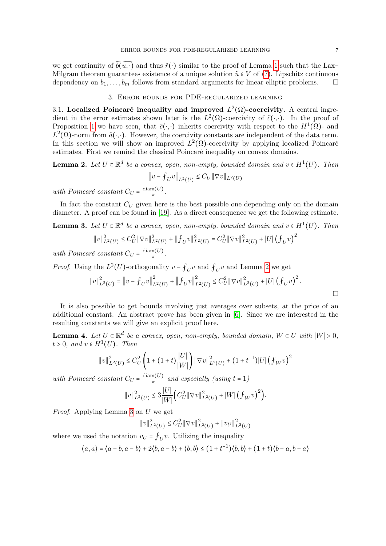we get continuity of  $\widetilde{b(u, \cdot)}$  and thus  $\widetilde{r}(\cdot)$  similar to the proof of Lemma [1](#page-5-2) such that the Lax– Milgram theorem guarantees existence of a unique solution  $\tilde{u} \in V$  of [\(7\)](#page-5-0). Lipschitz continuous dependency on  $b_1$  follows from standard arguments for linear elliptic problems  $\Box$ dependency on  $b_1, \ldots, b_m$  follows from standard arguments for linear elliptic problems.

# 3. Error bounds for PDE-regularized learning

<span id="page-6-0"></span>3.1. Localized Poincaré inequality and improved  $L^2(\Omega)$ -coercivity. A central ingredient in the error estimates shown later is the  $L^2(\Omega)$ -coercivity of  $\tilde{c}(\cdot, \cdot)$ . In the proof of Proposition [1](#page-5-3) we have seen, that  $\tilde{c}(\cdot, \cdot)$  inherits coercivity with respect to the  $H^1(\Omega)$ - and  $L^2(\Omega)$ -norm from  $\tilde{a}(\cdot,\cdot)$ . However, the coercivity constants are independent of the data term. In this section we will show an improved  $L^2(\Omega)$ -coercivity by applying localized Poincaré estimates. First we remind the classical Poincaré inequality on convex domains.

<span id="page-6-1"></span>**Lemma 2.** Let  $U \subset \mathbb{R}^d$  be a convex, open, non-empty, bounded domain and  $v \in H^1(U)$ . Then  $||v - f_U v||_{L^2(U)} \leq C_U ||\nabla v||_{L^2(U)}$ 

with Poincaré constant  $C_U = \frac{\text{diam}(U)}{\pi}$  $\frac{\Pi(U)}{\pi}$ .

In fact the constant  $C_U$  given here is the best possible one depending only on the domain diameter. A proof can be found in [\[19\]](#page-19-21). As a direct consequence we get the following estimate.

<span id="page-6-2"></span>**Lemma 3.** Let  $U \subset \mathbb{R}^d$  be a convex, open, non-empty, bounded domain and  $v \in H^1(U)$ . Then

$$
||v||_{L^{2}(U)}^{2} \leq C_{U}^{2} ||\nabla v||_{L^{2}(U)}^{2} + ||f_{U}v||_{L^{2}(U)}^{2} = C_{U}^{2} ||\nabla v||_{L^{2}(U)}^{2} + |U| (f_{U}v)^{2}
$$

with Poincaré constant  $C_U = \frac{\text{diam}(U)}{\pi}$  $\frac{\operatorname{m}(U)}{\pi}$ .

*Proof.* Using the  $L^2(U)$ -orthogonality  $v - f_U v$  and  $f_U v$  and Lemma [2](#page-6-1) we get

$$
||v||_{L^{2}(U)}^{2} = ||v - f_{U}v||_{L^{2}(U)}^{2} + ||f_{U}v||_{L^{2}(U)}^{2} \leq C_{U}^{2} ||\nabla v||_{L^{2}(U)}^{2} + |U| (f_{U}v)^{2}.
$$

It is also possible to get bounds involving just averages over subsets, at the price of an additional constant. An abstract prove has been given in [\[6\]](#page-19-20). Since we are interested in the resulting constants we will give an explicit proof here.

<span id="page-6-3"></span>**Lemma 4.** Let  $U \subset \mathbb{R}^d$  be a convex, open, non-empty, bounded domain,  $W \subset U$  with  $|W| > 0$ ,  $t > 0$ , and  $v \in H^1(U)$ . Then

$$
||v||_{L^{2}(U)}^{2} \leq C_{U}^{2} \left(1 + (1+t) \frac{|U|}{|W|}\right) ||\nabla v||_{L^{2}(U)}^{2} + (1+t^{-1})|U| \left(f_{W} v\right)^{2}
$$

with Poincaré constant  $C_U = \frac{\text{diam}(U)}{\pi}$  $\frac{m(U)}{\pi}$  and especially (using  $t = 1$ )

$$
||v||_{L^{2}(U)}^{2} \leq 3 \frac{|U|}{|W|} \Big(C_{U}^{2} ||\nabla v||_{L^{2}(U)}^{2} + |W| \Big(f_{W} v \Big)^{2} \Big).
$$

Proof. Applying Lemma [3](#page-6-2) on U we get

$$
||v||_{L^{2}(U)}^{2} \leq C_{U}^{2} ||\nabla v||_{L^{2}(U)}^{2} + ||v_{U}||_{L^{2}(U)}^{2}
$$

where we used the notation  $v_U = f_U v$ . Utilizing the inequality

$$
\langle a, a \rangle = \langle a - b, a - b \rangle + 2\langle b, a - b \rangle + \langle b, b \rangle \le (1 + t^{-1})\langle b, b \rangle + (1 + t)\langle b - a, b - a \rangle
$$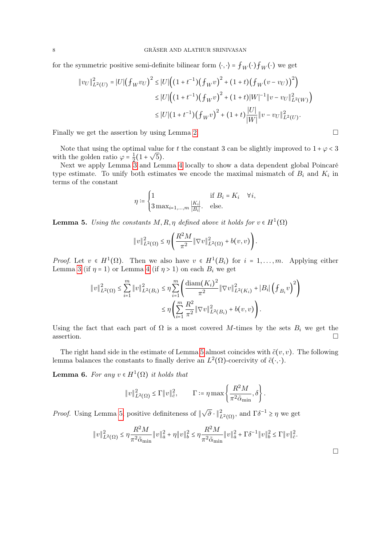for the symmetric positive semi-definite bilinear form  $\langle \cdot, \cdot \rangle = f_W(\cdot) f_W(\cdot)$  we get

$$
||v_U||_{L^2(U)}^2 = |U| \left( f_W v_U \right)^2 \le |U| \left( (1+t^{-1}) \left( f_W v \right)^2 + (1+t) \left( f_W (v-v_U) \right)^2 \right)
$$
  

$$
\le |U| \left( (1+t^{-1}) \left( f_W v \right)^2 + (1+t) |W|^{-1} ||v-v_U||_{L^2(W)}^2 \right)
$$
  

$$
\le |U| (1+t^{-1}) \left( f_W v \right)^2 + (1+t) \frac{|U|}{|W|} ||v-v_U||_{L^2(U)}^2.
$$

Finally we get the assertion by using Lemma [2.](#page-6-1)  $\Box$ 

Note that using the optimal value for t the constant 3 can be slightly improved to  $1 + \varphi < 3$ with the golden ratio  $\varphi = \frac{1}{2}$ <br>Nort we apply Lamma  $\frac{1}{2}(1+\sqrt{5}).$ 

Next we apply Lemma [3](#page-6-2) and Lemma [4](#page-6-3) locally to show a data dependent global Poincaré type estimate. To unify both estimates we encode the maximal mismatch of  $B_i$  and  $K_i$  in terms of the constant

$$
\eta \coloneqq \begin{cases} 1 & \text{if } B_i = K_i \quad \forall i, \\ 3 \max_{i=1,\dots,m} \frac{|K_i|}{|B_i|}. & \text{else.} \end{cases}
$$

<span id="page-7-0"></span>**Lemma 5.** Using the constants  $M, R, \eta$  defined above it holds for  $v \in H^1(\Omega)$ 

$$
||v||_{L^{2}(\Omega)}^{2} \leq \eta \left( \frac{R^{2}M}{\pi^{2}} ||\nabla v||_{L^{2}(\Omega)}^{2} + b(v,v) \right).
$$

*Proof.* Let  $v \in H^1(\Omega)$ . Then we also have  $v \in H^1(B_i)$  for  $i = 1, ..., m$ . Applying either Lemma [3](#page-6-2) (if  $\eta = 1$ ) or Lemma [4](#page-6-3) (if  $\eta > 1$ ) on each  $B_i$  we get

$$
||v||_{L^{2}(\Omega)}^{2} \leq \sum_{i=1}^{m} ||v||_{L^{2}(B_{i})}^{2} \leq \eta \sum_{i=1}^{m} \left( \frac{\text{diam}(K_{i})^{2}}{\pi^{2}} ||\nabla v||_{L^{2}(K_{i})}^{2} + |B_{i}|\left(f_{B_{i}}v\right)^{2}\right)
$$

$$
\leq \eta \left( \sum_{i=1}^{m} \frac{R^{2}}{\pi^{2}} ||\nabla v||_{L^{2}(B_{i})}^{2} + b(v,v) \right).
$$

Using the fact that each part of  $\Omega$  is a most covered M-times by the sets  $B_i$  we get the assertion.

The right hand side in the estimate of Lemma [5](#page-7-0) almost coincides with  $\tilde{c}(v, v)$ . The following lemma balances the constants to finally derive an  $L^2(\Omega)$ -coercivity of  $\tilde{c}(\cdot, \cdot)$ .

<span id="page-7-1"></span>**Lemma 6.** For any  $v \in H^1(\Omega)$  it holds that

$$
\|v\|_{L^2(\Omega)}^2\leq \Gamma \|v\|_{\tilde{c}}^2,\qquad \Gamma\coloneqq \eta \max\left\{\frac{R^2M}{\pi^2\tilde{\alpha}_{\min}},\delta\right\}.
$$

*Proof.* Using Lemma [5,](#page-7-0) positive definiteness of  $\|\sqrt{\tilde{\sigma}} \cdot \|_{L^2(\Omega)}^2$ , and  $\Gamma \delta^{-1} \ge \eta$  we get

$$
\|v\|_{L^2(\Omega)}^2 \leq \eta \frac{R^2 M}{\pi^2 \tilde{\alpha}_{\min}} \|v\|_{\tilde{a}}^2 + \eta \|v\|_b^2 \leq \eta \frac{R^2 M}{\pi^2 \tilde{\alpha}_{\min}} \|v\|_{\tilde{a}}^2 + \Gamma \delta^{-1} \|v\|_b^2 \leq \Gamma \|v\|_{\tilde{c}}^2.
$$

 $\Box$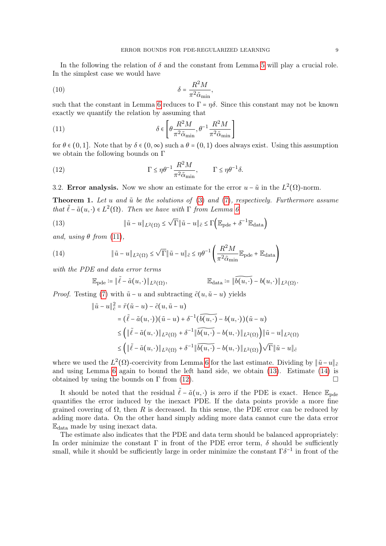In the following the relation of  $\delta$  and the constant from Lemma [5](#page-7-0) will play a crucial role. In the simplest case we would have

<span id="page-8-4"></span>
$$
\delta = \frac{R^2 M}{\pi^2 \tilde{\alpha}_{\min}},
$$

such that the constant in Lemma [6](#page-7-1) reduces to  $\Gamma = \eta \delta$ . Since this constant may not be known exactly we quantify the relation by assuming that

<span id="page-8-0"></span>(11) 
$$
\delta \in \left[\theta \frac{R^2 M}{\pi^2 \tilde{\alpha}_{\min}}, \theta^{-1} \frac{R^2 M}{\pi^2 \tilde{\alpha}_{\min}}\right]
$$

for  $\theta \in (0, 1]$ . Note that by  $\delta \in (0, \infty)$  such a  $\theta = (0, 1)$  does always exist. Using this assumption we obtain the following bounds on Γ

<span id="page-8-3"></span>(12) 
$$
\Gamma \leq \eta \theta^{-1} \frac{R^2 M}{\pi^2 \tilde{\alpha}_{\min}}, \qquad \Gamma \leq \eta \theta^{-1} \delta.
$$

3.2. **Error analysis.** Now we show an estimate for the error  $u - \tilde{u}$  in the  $L^2(\Omega)$ -norm.

<span id="page-8-5"></span>**Theorem 1.** Let u and  $\tilde{u}$  be the solutions of [\(3\)](#page-3-1) and [\(7\)](#page-5-0), respectively. Furthermore assume that  $\tilde{\ell} - \tilde{a}(u, \cdot) \in L^2(\Omega)$ . Then we have with  $\Gamma$  from Lemma [6](#page-7-1)

<span id="page-8-1"></span>(13) 
$$
\|\tilde{u} - u\|_{L^2(\Omega)} \le \sqrt{\Gamma} \|\tilde{u} - u\|_{\tilde{c}} \le \Gamma \Big( \mathbb{E}_{\text{pde}} + \delta^{-1} \mathbb{E}_{\text{data}} \Big)
$$

and, using  $\theta$  from [\(11\)](#page-8-0),

<span id="page-8-2"></span>(14) 
$$
\|\tilde{u} - u\|_{L^2(\Omega)} \le \sqrt{\Gamma} \|\tilde{u} - u\|_{\tilde{c}} \le \eta \theta^{-1} \left( \frac{R^2 M}{\pi^2 \tilde{\alpha}_{\min}} \mathbb{E}_{\text{pde}} + \mathbb{E}_{\text{data}} \right)
$$

with the PDE and data error terms

$$
\mathbb{E}_{\text{pde}} \coloneqq \| \tilde{\ell} - \tilde{a}(u, \cdot) \|_{L^2(\Omega)}, \qquad \qquad \mathbb{E}_{\text{data}} \coloneqq \| \widetilde{b(u, \cdot)} - b(u, \cdot) \|_{L^2(\Omega)}.
$$

*Proof.* Testing [\(7\)](#page-5-0) with  $\tilde{u} - u$  and subtracting  $\tilde{c}(u, \tilde{u} - u)$  yields

$$
\|\tilde{u} - u\|_{\tilde{c}}^2 = \tilde{r}(\tilde{u} - u) - \tilde{c}(u, \tilde{u} - u)
$$
  
\n
$$
= (\tilde{\ell} - \tilde{a}(u, \cdot))(\tilde{u} - u) + \delta^{-1}(\overline{b(u, \cdot)} - b(u, \cdot))(\tilde{u} - u)
$$
  
\n
$$
\leq (\|\tilde{\ell} - \tilde{a}(u, \cdot)\|_{L^2(\Omega)} + \delta^{-1} \|\overline{b(u, \cdot)} - b(u, \cdot)\|_{L^2(\Omega)}) \|\tilde{u} - u\|_{L^2(\Omega)}
$$
  
\n
$$
\leq (\|\tilde{\ell} - \tilde{a}(u, \cdot)\|_{L^2(\Omega)} + \delta^{-1} \|\overline{b(u, \cdot)} - b(u, \cdot)\|_{L^2(\Omega)}) \sqrt{\Gamma} \|\tilde{u} - u\|_{\tilde{c}}
$$

where we used the  $L^2(\Omega)$ -coercivity from Lemma [6](#page-7-1) for the last estimate. Dividing by  $\|\tilde{u}-u\|_{\tilde{c}}$ and using Lemma [6](#page-7-1) again to bound the left hand side, we obtain [\(13\)](#page-8-1). Estimate [\(14\)](#page-8-2) is obtained by using the bounds on  $\Gamma$  from [\(12\)](#page-8-3).

It should be noted that the residual  $\tilde{\ell}$  –  $\tilde{a}(u, \cdot)$  is zero if the PDE is exact. Hence  $\mathbb{E}_{\text{pde}}$ quantifies the error induced by the inexact PDE. If the data points provide a more fine grained covering of  $\Omega$ , then R is decreased. In this sense, the PDE error can be reduced by adding more data. On the other hand simply adding more data cannot cure the data error Edata made by using inexact data.

The estimate also indicates that the PDE and data term should be balanced appropriately: In order minimize the constant  $\Gamma$  in front of the PDE error term,  $\delta$  should be sufficiently small, while it should be sufficiently large in order minimize the constant  $\Gamma \delta^{-1}$  in front of the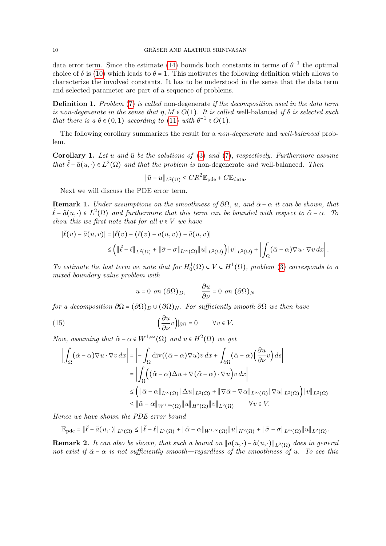data error term. Since the estimate [\(14\)](#page-8-2) bounds both constants in terms of  $\theta^{-1}$  the optimal choice of  $\delta$  is [\(10\)](#page-8-4) which leads to  $\theta = 1$ . This motivates the following definition which allows to characterize the involved constants. It has to be understood in the sense that the data term and selected parameter are part of a sequence of problems.

<span id="page-9-1"></span>**Definition 1.** Problem [\(7\)](#page-5-0) is called non-degenerate if the decomposition used in the data term is non-degenerate in the sense that  $\eta, M \in O(1)$ . It is called well-balanced if  $\delta$  is selected such that there is a  $\theta \in (0,1)$  according to [\(11\)](#page-8-0) with  $\theta^{-1} \in O(1)$ .

The following corollary summarizes the result for a non-degenerate and well-balanced problem.

**Corollary 1.** Let u and  $\tilde{u}$  be the solutions of [\(3\)](#page-3-1) and [\(7\)](#page-5-0), respectively. Furthermore assume that  $\tilde{\ell} - \tilde{a}(u, \cdot) \in L^2(\Omega)$  and that the problem is non-degenerate and well-balanced. Then

$$
\|\tilde{u} - u\|_{L^2(\Omega)} \leq CR^2 \mathbb{E}_{\text{pde}} + C \mathbb{E}_{\text{data}}.
$$

Next we will discuss the PDE error term.

**Remark 1.** Under assumptions on the smoothness of  $\partial\Omega$ , u, and  $\tilde{\alpha} - \alpha$  it can be shown, that  $\tilde{\ell}$  –  $\tilde{a}(u, \cdot) \in L^2(\Omega)$  and furthermore that this term can be bounded with respect to  $\tilde{\alpha}$  –  $\alpha$ . To show this we first note that for all  $v \in V$  we have

$$
\begin{aligned} |\tilde{\ell}(v) - \tilde{a}(u, v)| &= |\tilde{\ell}(v) - (\ell(v) - a(u, v)) - \tilde{a}(u, v)| \\ &\leq \left( \|\tilde{\ell} - \ell\|_{L^2(\Omega)} + \|\tilde{\sigma} - \sigma\|_{L^\infty(\Omega)} \|u\|_{L^2(\Omega)} \right) \|v\|_{L^2(\Omega)} + \left| \int_{\Omega} (\tilde{\alpha} - \alpha) \nabla u \cdot \nabla v \, dx \right|. \end{aligned}
$$

To estimate the last term we note that for  $H_0^1(\Omega) \subset V \subset H^1(\Omega)$ , problem [\(3\)](#page-3-1) corresponds to a mined hourdow unlus make with mixed boundary value problem with

$$
u = 0 \text{ on } (\partial \Omega)_D, \qquad \frac{\partial u}{\partial \nu} = 0 \text{ on } (\partial \Omega)_N
$$

for a decomposition  $\partial\Omega = (\partial\Omega)_D \cup (\partial\Omega)_N$ . For sufficiently smooth  $\partial\Omega$  we then have

<span id="page-9-0"></span>(15) 
$$
\left(\frac{\partial u}{\partial \nu}v\right)|_{\partial \Omega} = 0 \qquad \forall v \in V.
$$

Now, assuming that  $\tilde{\alpha} - \alpha \in W^{1,\infty}(\Omega)$  and  $u \in H^2(\Omega)$  we get

$$
\left| \int_{\Omega} (\tilde{\alpha} - \alpha) \nabla u \cdot \nabla v \, dx \right| = \left| - \int_{\Omega} \text{div} \left( (\tilde{\alpha} - \alpha) \nabla u \right) v \, dx + \int_{\partial \Omega} (\tilde{\alpha} - \alpha) \left( \frac{\partial u}{\partial \nu} v \right) ds \right|
$$
  
\n
$$
= \left| \int_{\Omega} \left( (\tilde{\alpha} - \alpha) \Delta u + \nabla (\tilde{\alpha} - \alpha) \cdot \nabla u \right) v \, dx \right|
$$
  
\n
$$
\leq \left( \| \tilde{\alpha} - \alpha \|_{L^{\infty}(\Omega)} \| \Delta u \|_{L^{2}(\Omega)} + \| \nabla \tilde{\alpha} - \nabla \alpha \|_{L^{\infty}(\Omega)} \| \nabla u \|_{L^{2}(\Omega)} \right) \| v \|_{L^{2}(\Omega)}
$$
  
\n
$$
\leq \| \tilde{\alpha} - \alpha \|_{W^{1,\infty}(\Omega)} \| u \|_{H^{2}(\Omega)} \| v \|_{L^{2}(\Omega)} \qquad \forall v \in V.
$$

Hence we have shown the PDE error bound

$$
\mathbb{E}_{\mathrm{pde}} = \|\tilde{\ell} - \tilde{a}(u,\cdot)\|_{L^2(\Omega)} \le \|\tilde{\ell} - \ell\|_{L^2(\Omega)} + \|\tilde{\alpha} - \alpha\|_{W^{1,\infty}(\Omega)} \|u\|_{H^2(\Omega)} + \|\tilde{\sigma} - \sigma\|_{L^\infty(\Omega)} \|u\|_{L^2(\Omega)}.
$$

**Remark 2.** It can also be shown, that such a bound on  $\|a(u, \cdot) - \tilde{a}(u, \cdot)\|_{L^2(\Omega)}$  does in general not exist if  $\tilde{\alpha}$  –  $\alpha$  is not sufficiently smooth—regardless of the smoothness of u. To see this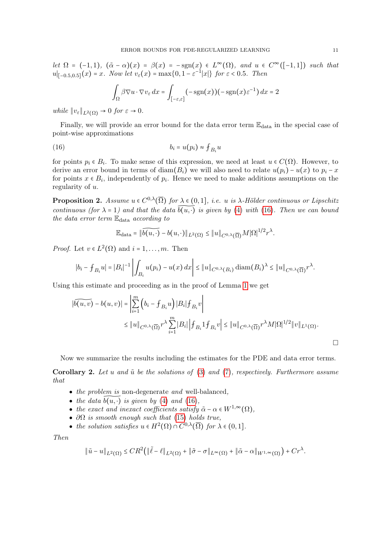let  $\Omega = (-1,1)$ ,  $(\tilde{\alpha} - \alpha)(x) = \beta(x) = -\text{sgn}(x) \in L^{\infty}(\Omega)$ , and  $u \in C^{\infty}([-1,1])$  such that  $u|_{[-0.5,0.5]}(x) = x$ . Now let  $v_{\varepsilon}(x) = \max\{0, 1 - \varepsilon^{-1}|x|\}$  for  $\varepsilon < 0.5$ . Then

$$
\int_{\Omega} \beta \nabla u \cdot \nabla v_{\varepsilon} \, dx = \int_{[-\varepsilon,\varepsilon]} (-\operatorname{sgn}(x)) (-\operatorname{sgn}(x)\varepsilon^{-1}) \, dx = 2
$$

while  $||v_{\varepsilon}||_{L^2(\Omega)} \to 0$  for  $\varepsilon \to 0$ .

Finally, we will provide an error bound for the data error term  $\mathbb{E}_{data}$  in the special case of point-wise approximations

<span id="page-10-0"></span>
$$
(16) \t\t b_i = u(p_i) \approx f_{B_i} u
$$

for points  $p_i \in B_i$ . To make sense of this expression, we need at least  $u \in C(\Omega)$ . However, to derive an arror bound in terms of diam(B) we will also need to relate  $u(x)$ ,  $u(x)$  to  $x$ ,  $x$ derive an error bound in terms of diam( $B_i$ ) we will also need to relate  $u(p_i) - u(x)$  to  $p_i - x$ for points  $x \in B_i$ , independently of  $p_i$ . Hence we need to make additions assumptions on the regularity of u.

**Proposition 2.** Assume  $u \in C^{0,\lambda}(\overline{\Omega})$  for  $\lambda \in (0,1]$ , i.e. u is  $\lambda$ -Hölder continuous or Lipschitz continuous (for  $\lambda = 1$ ) and that the data  $\widetilde{b(u, \cdot)}$  is given by [\(4\)](#page-4-1) with [\(16\)](#page-10-0). Then we can bound the data error term  $\mathbb{E}_{data}$  according to

$$
\mathbb{E}_{\text{data}} = \|\widehat{b(u, \cdot)} - b(u, \cdot)\|_{L^2(\Omega)} \le \|u\|_{C^{0,\lambda}(\overline{\Omega})} M |\Omega|^{1/2} r^{\lambda}.
$$

*Proof.* Let  $v \in L^2(\Omega)$  and  $i = 1, ..., m$ . Then

$$
|b_i - f_{B_i} u| = |B_i|^{-1} \left| \int_{B_i} u(p_i) - u(x) \, dx \right| \leq \|u\|_{C^{0,\lambda}(B_i)} \operatorname{diam}(B_i)^\lambda \leq \|u\|_{C^{0,\lambda}(\overline{\Omega})} r^\lambda.
$$

Using this estimate and proceeding as in the proof of Lemma [1](#page-5-2) we get

$$
|\widetilde{b(u,v)} - b(u,v)| = \left| \sum_{i=1}^{m} (b_i - f_{B_i} u) |B_i| f_{B_i} v \right|
$$
  
\$\leq \|u\|\_{C^{0,\lambda}(\overline{\Omega})} r^{\lambda} \sum\_{i=1}^{m} |B\_i| |f\_{B\_i} 1 f\_{B\_i} v| \leq \|u\|\_{C^{0,\lambda}(\overline{\Omega})} r^{\lambda} M |\Omega|^{1/2} ||v||\_{L^1(\Omega)}.\$

Now we summarize the results including the estimates for the PDE and data error terms.

<span id="page-10-1"></span>**Corollary 2.** Let u and  $\tilde{u}$  be the solutions of [\(3\)](#page-3-1) and [\(7\)](#page-5-0), respectively. Furthermore assume that

- $\bullet$  the problem is non-degenerate and well-balanced,
- the data  $\overline{b(u, \cdot)}$  is given by [\(4\)](#page-4-1) and [\(16\)](#page-10-0),
- the exact and inexact coefficients satisfy  $\tilde{\alpha} \alpha \in W^{1,\infty}(\Omega)$ ,
- $\partial\Omega$  is smooth enough such that [\(15\)](#page-9-0) holds true,
- the solution satisfies  $u \in H^2(\Omega) \cap C^{0,\lambda}(\overline{\Omega})$  for  $\lambda \in (0,1]$ .

Then

$$
\|\tilde{u}-u\|_{L^2(\Omega)} \leq CR^2 \big( \|\tilde{\ell}-\ell\|_{L^2(\Omega)} + \|\tilde{\sigma}-\sigma\|_{L^\infty(\Omega)} + \|\tilde{\alpha}-\alpha\|_{W^{1,\infty}(\Omega)} \big) + Cr^{\lambda}.
$$

 $\Box$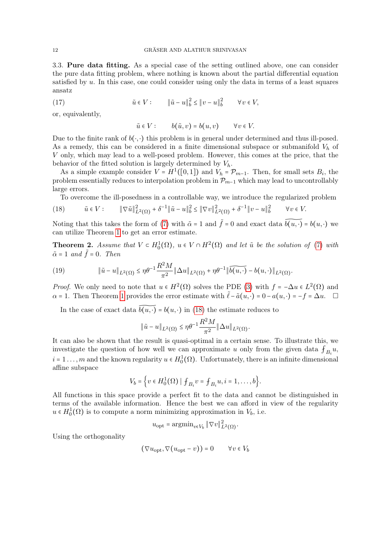3.3. Pure data fitting. As a special case of the setting outlined above, one can consider the pure data fitting problem, where nothing is known about the partial differential equation satisfied by u. In this case, one could consider using only the data in terms of a least squares ansatz

(17) 
$$
\tilde{u} \in V: \qquad \|\tilde{u} - u\|_b^2 \le \|v - u\|_b^2 \qquad \forall v \in V,
$$

or, equivalently,

$$
\tilde{u} \in V: \qquad b(\tilde{u}, v) = b(u, v) \qquad \forall v \in V.
$$

Due to the finite rank of  $b(\cdot, \cdot)$  this problem is in general under determined and thus ill-posed. As a remedy, this can be considered in a finite dimensional subspace or submanifold  $V<sub>h</sub>$  of V only, which may lead to a well-posed problem. However, this comes at the price, that the behavior of the fitted solution is largely determined by  $V_h$ .

As a simple example consider  $V = H^1([0,1])$  and  $V_h = \mathcal{P}_{m-1}$ . Then, for small sets  $B_i$ , the problem essentially reduces to interpolation problem in  $\mathcal{P}_{m-1}$  which may lead to uncontrollably large errors.

To overcome the ill-posedness in a controllable way, we introduce the regularized problem

<span id="page-11-0"></span>(18) 
$$
\tilde{u} \in V: \qquad \|\nabla \tilde{u}\|_{L^2(\Omega)}^2 + \delta^{-1} \|\tilde{u} - u\|_b^2 \le \|\nabla v\|_{L^2(\Omega)}^2 + \delta^{-1} \|v - u\|_b^2 \qquad \forall v \in V.
$$

Noting that this takes the form of [\(7\)](#page-5-0) with  $\tilde{\alpha} = 1$  and  $\tilde{f} = 0$  and exact data  $\widetilde{b(u, \cdot)} = b(u, \cdot)$  we can utilize Theorem [1](#page-8-5) to get an error estimate.

<span id="page-11-1"></span>**Theorem 2.** Assume that  $V \subset H_0^1(\Omega)$ ,  $u \in V \cap H^2(\Omega)$  and let  $\tilde{u}$  be the solution of [\(7\)](#page-5-0) with  $\tilde{\alpha} = 1$  and  $\tilde{f} = 0$ . Then

(19) 
$$
\|\tilde{u} - u\|_{L^2(\Omega)} \le \eta \theta^{-1} \frac{R^2 M}{\pi^2} \|\Delta u\|_{L^2(\Omega)} + \eta \theta^{-1} \|\widetilde{b(u, \cdot)} - b(u, \cdot)\|_{L^2(\Omega)}.
$$

*Proof.* We only need to note that  $u \in H^2(\Omega)$  solves the PDE [\(3\)](#page-3-1) with  $f = -\Delta u \in L^2(\Omega)$  and  $\alpha = 1$  $\alpha = 1$ . Then Theorem 1 provides the error estimate with  $\tilde{\ell} - \tilde{a}(u, \cdot) = 0 - a(u, \cdot) = -f = \Delta u$ .  $\Box$ 

In the case of exact data  $\widetilde{b(u, \cdot)} = b(u, \cdot)$  in [\(18\)](#page-11-0) the estimate reduces to

$$
\|\tilde{u}-u\|_{L^2(\Omega)} \le \eta \theta^{-1} \frac{R^2 M}{\pi^2} \|\Delta u\|_{L^2(\Omega)}.
$$

It can also be shown that the result is quasi-optimal in a certain sense. To illustrate this, we investigate the question of how well we can approximate u only from the given data  $f_{B_i}u$ ,  $i = 1 \ldots, m$  and the known regularity  $u \in H_0^1(\Omega)$ . Unfortunately, there is an infinite dimensional affine subspace

$$
V_b = \Big\{ v \in H_0^1(\Omega) \mid f_{B_i} v = f_{B_i} u, i = 1, \dots, b \Big\}.
$$

All functions in this space provide a perfect fit to the data and cannot be distinguished in terms of the available information. Hence the best we can afford in view of the regularity  $u \in H_0^1(\Omega)$  is to compute a norm minimizing approximation in  $V_b$ , i.e.

$$
u_{\text{opt}} = \operatorname{argmin}_{v \in V_b} \|\nabla v\|_{L^2(\Omega)}^2
$$

.

Using the orthogonality

$$
(\nabla u_{\text{opt}}, \nabla (u_{\text{opt}} - v)) = 0 \qquad \forall v \in V_b
$$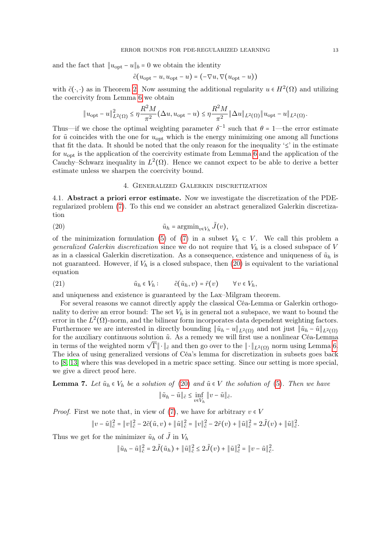and the fact that  $||u_{\text{opt}} - u||_b = 0$  we obtain the identity

$$
\tilde{c}(u_{\text{opt}}-u, u_{\text{opt}}-u) = (-\nabla u, \nabla (u_{\text{opt}}-u))
$$

with  $\tilde{c}(\cdot, \cdot)$  as in Theorem [2.](#page-11-1) Now assuming the additional regularity  $u \in H^2(\Omega)$  and utilizing the associative from Lamma 6 we obtain the coercivity from Lemma [6](#page-7-1) we obtain

$$
||u_{\text{opt}} - u||_{L^{2}(\Omega)}^{2} \leq \eta \frac{R^{2}M}{\pi^{2}} \left(\Delta u, u_{\text{opt}} - u\right) \leq \eta \frac{R^{2}M}{\pi^{2}} ||\Delta u||_{L^{2}(\Omega)} ||u_{\text{opt}} - u||_{L^{2}(\Omega)}.
$$

Thus—if we chose the optimal weighting parameter  $\delta^{-1}$  such that  $\theta = 1$ —the error estimate for  $\tilde{u}$  coincides with the one for  $u_{opt}$  which is the energy minimizing one among all functions that fit the data. It should be noted that the only reason for the inequality ' $\leq$ ' in the estimate for  $u_{\text{ont}}$  is the application of the coercivity estimate from Lemma [6](#page-7-1) and the application of the Cauchy–Schwarz inequality in  $L^2(\Omega)$ . Hence we cannot expect to be able to derive a better estimate unless we sharpen the coercivity bound.

### 4. Generalized Galerkin discretization

<span id="page-12-0"></span>4.1. Abstract a priori error estimate. Now we investigate the discretization of the PDEregularized problem [\(7\)](#page-5-0). To this end we consider an abstract generalized Galerkin discretization

<span id="page-12-1"></span>(20) 
$$
\tilde{u}_h = \operatorname{argmin}_{v \in V_h} \tilde{J}(v),
$$

of the minimization formulation [\(5\)](#page-4-0) of [\(7\)](#page-5-0) in a subset  $V_h \subset V$ . We call this problem a generalized Galerkin discretization since we do not require that  $V_h$  is a closed subspace of V as in a classical Galerkin discretization. As a consequence, existence and uniqueness of  $\tilde{u}_h$  is not guaranteed. However, if  $V_h$  is a closed subspace, then [\(20\)](#page-12-1) is equivalent to the variational equation

(21) 
$$
\tilde{u}_h \in V_h: \qquad \tilde{c}(\tilde{u}_h, v) = \tilde{r}(v) \qquad \forall v \in V_h,
$$

and uniqueness and existence is guaranteed by the Lax–Milgram theorem.

For several reasons we cannot directly apply the classical Céa-Lemma or Galerkin orthogonality to derive an error bound: The set  $V_h$  is in general not a subspace, we want to bound the error in the  $L^2(\Omega)$ -norm, and the bilinear form incorporates data dependent weighting factors. Furthermore we are interested in directly bounding  $\|\tilde{u}_h - u\|_{L^2(\Omega)}$  and not just  $\|\tilde{u}_h - \tilde{u}\|_{L^2(\Omega)}$ for the auxiliary continuous solution  $\tilde{u}$ . As a remedy we will first use a nonlinear Céa-Lemma in terms of the weighted norm  $\sqrt{\Gamma}$ || ⋅ ||c and then go over to the  $\|\cdot\|_{L^2(\Omega)}$  norm using Lemma [6.](#page-7-1) The idea of using generalized versions of Céa's lemma for discretization in subsets goes back to [\[8,](#page-19-22) [13\]](#page-19-23) where this was developed in a metric space setting. Since our setting is more special, we give a direct proof here.

<span id="page-12-2"></span>**Lemma 7.** Let  $\tilde{u}_h \in V_h$  be a solution of [\(20\)](#page-12-1) and  $\tilde{u} \in V$  the solution of [\(5\)](#page-4-0). Then we have

$$
\|\tilde{u}_h - \tilde{u}\|_{\tilde{c}} \le \inf_{v \in V_h} \|v - \tilde{u}\|_{\tilde{c}}.
$$

*Proof.* First we note that, in view of [\(7\)](#page-5-0), we have for arbitrary  $v \in V$ 

$$
\|v - \tilde{u}\|_{\tilde{c}}^2 = \|v\|_{\tilde{c}}^2 - 2\tilde{c}(\tilde{u}, v) + \|\tilde{u}\|_{\tilde{c}}^2 = \|v\|_{\tilde{c}}^2 - 2\tilde{r}(v) + \|\tilde{u}\|_{\tilde{c}}^2 = 2\tilde{J}(v) + \|\tilde{u}\|_{\tilde{c}}^2.
$$

Thus we get for the minimizer  $\tilde{u}_h$  of  $\tilde{J}$  in  $V_h$ 

$$
\|\tilde{u}_h - \tilde{u}\|_{\tilde{c}}^2 = 2\tilde{J}(\tilde{u}_h) + \|\tilde{u}\|_{\tilde{c}}^2 \le 2\tilde{J}(v) + \|\tilde{u}\|_{\tilde{c}}^2 = \|v - \tilde{u}\|_{\tilde{c}}^2.
$$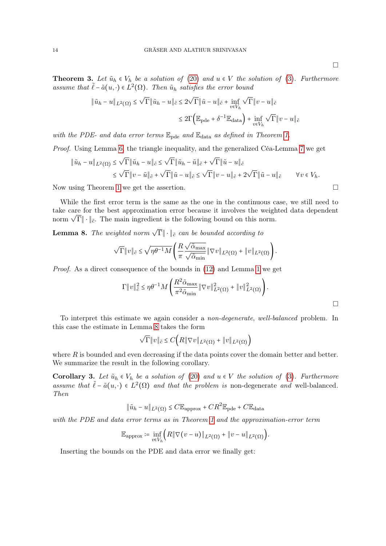<span id="page-13-1"></span>**Theorem 3.** Let  $\tilde{u}_h \in V_h$  be a solution of [\(20\)](#page-12-1) and  $u \in V$  the solution of [\(3\)](#page-3-1). Furthermore assume that  $\tilde{\ell}$  –  $\tilde{a}(u, \cdot) \in L^2(\Omega)$ . Then  $\tilde{u}_h$  satisfies the error bound

$$
\|\tilde{u}_h - u\|_{L^2(\Omega)} \le \sqrt{\Gamma} \|\tilde{u}_h - u\|_{\tilde{c}} \le 2\sqrt{\Gamma} \|\tilde{u} - u\|_{\tilde{c}} + \inf_{v \in V_h} \sqrt{\Gamma} \|v - u\|_{\tilde{c}} \le 2\Gamma \Big( \mathbb{E}_{\text{pde}} + \delta^{-1} \mathbb{E}_{\text{data}} \Big) + \inf_{v \in V_h} \sqrt{\Gamma} \|v - u\|_{\tilde{c}}
$$

with the PDE- and data error terms  $\mathbb{E}_{pde}$  and  $\mathbb{E}_{data}$  as defined in Theorem [1.](#page-8-5)

Proof. Using Lemma [6,](#page-7-1) the triangle inequality, and the generalized Céa-Lemma [7](#page-12-2) we get

$$
\|\tilde{u}_h - u\|_{L^2(\Omega)} \le \sqrt{\Gamma} \|\tilde{u}_h - u\|_{\tilde{c}} \le \sqrt{\Gamma} \|\tilde{u}_h - \tilde{u}\|_{\tilde{c}} + \sqrt{\Gamma} \|\tilde{u} - u\|_{\tilde{c}} \le \sqrt{\Gamma} \|v - \tilde{u}\|_{\tilde{c}} + \sqrt{\Gamma} \|\tilde{u} - u\|_{\tilde{c}} \le \sqrt{\Gamma} \|v - u\|_{\tilde{c}} + 2\sqrt{\Gamma} \|\tilde{u} - u\|_{\tilde{c}} \qquad \forall v \in V_h.
$$

Now using Theorem [1](#page-8-5) we get the assertion.

While the first error term is the same as the one in the continuous case, we still need to take care for the best approximation error because it involves the weighted data dependent norm  $\sqrt{\Gamma}$ || · ||<sub>c</sub> The main ingredient is the following bound on this norm.

<span id="page-13-0"></span>**Lemma 8.** The weighted norm  $\sqrt{\Gamma}$   $\|\cdot\|_{\tilde{c}}$  can be bounded according to

$$
\sqrt{\Gamma} \|v\|_{\tilde c} \leq \sqrt{\eta \theta^{-1} M} \left(\frac{R}{\pi} \frac{\sqrt{\tilde \alpha_{\max}}}{\sqrt{\tilde \alpha_{\min}}} \|\nabla v\|_{L^2(\Omega)} + \|v\|_{L^2(\Omega)} \right).
$$

Proof. As a direct consequence of the bounds in [\(12\)](#page-8-3) and Lemma [1](#page-5-2) we get

$$
\Gamma \|v\|_{\tilde{c}}^2 \leq \eta \theta^{-1} M \left( \frac{R^2 \tilde{\alpha}_{\max}}{\pi^2 \tilde{\alpha}_{\min}} \|\nabla v\|_{L^2(\Omega)}^2 + \|v\|_{L^2(\Omega)}^2 \right).
$$

To interpret this estimate we again consider a non-degenerate, well-balanced problem. In this case the estimate in Lemma [8](#page-13-0) takes the form

$$
\sqrt{\Gamma} \|v\|_{\tilde{c}} \leq C \Big( R \| \nabla v \|_{L^2(\Omega)} + \| v \|_{L^2(\Omega)} \Big)
$$

where  $R$  is bounded and even decreasing if the data points cover the domain better and better. We summarize the result in the following corollary.

<span id="page-13-2"></span>**Corollary 3.** Let  $\tilde{u}_h \in V_h$  be a solution of [\(20\)](#page-12-1) and  $u \in V$  the solution of [\(3\)](#page-3-1). Furthermore assume that  $\tilde{\ell}$  –  $\tilde{a}(u, \cdot) \in L^2(\Omega)$  and that the problem is non-degenerate and well-balanced. Then

$$
\|\tilde{u}_h - u\|_{L^2(\Omega)} \le C \mathbb{E}_{\text{approx}} + C R^2 \mathbb{E}_{\text{pde}} + C \mathbb{E}_{\text{data}}
$$

with the PDE and data error terms as in Theorem [1](#page-8-5) and the approximation-error term

$$
\mathbb{E}_{\text{approx}} := \inf_{v \in V_h} \Big( R \|\nabla(v - u)\|_{L^2(\Omega)} + \|v - u\|_{L^2(\Omega)} \Big).
$$

Inserting the bounds on the PDE and data error we finally get:

 $\Box$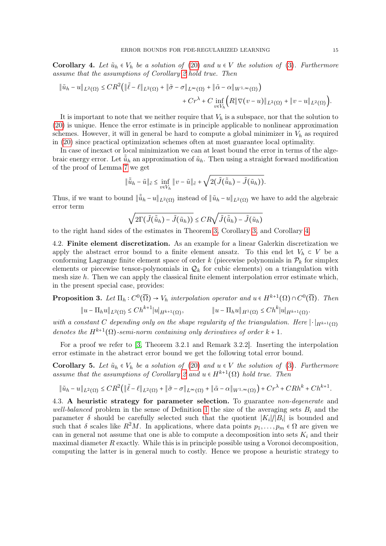<span id="page-14-0"></span>**Corollary 4.** Let  $\tilde{u}_h \in V_h$  be a solution of [\(20\)](#page-12-1) and  $u \in V$  the solution of [\(3\)](#page-3-1). Furthermore assume that the assumptions of Corollary [2](#page-10-1) hold true. Then

$$
\|\tilde{u}_h - u\|_{L^2(\Omega)} \leq CR^2 \Big( \|\tilde{\ell} - \ell\|_{L^2(\Omega)} + \|\tilde{\sigma} - \sigma\|_{L^\infty(\Omega)} + \|\tilde{\alpha} - \alpha\|_{W^{1,\infty}(\Omega)} \Big) + Cr^{\lambda} + C \inf_{v \in V_h} \Big( R \|\nabla(v - u)\|_{L^2(\Omega)} + \|v - u\|_{L^2(\Omega)} \Big).
$$

It is important to note that we neither require that  $V<sub>h</sub>$  is a subspace, nor that the solution to [\(20\)](#page-12-1) is unique. Hence the error estimate is in principle applicable to nonlinear approximation schemes. However, it will in general be hard to compute a global minimizer in  $V<sub>h</sub>$  as required in [\(20\)](#page-12-1) since practical optimization schemes often at most guarantee local optimality.

In case of inexact or local minimization we can at least bound the error in terms of the algebraic energy error. Let  $\tilde{u}_h$  an approximation of  $\tilde{u}_h$ . Then using a straight forward modification of the proof of Lemma [7](#page-12-2) we get

$$
\|\tilde{\tilde{u}}_h-\tilde{u}\|_{\tilde{c}}\leq \inf_{v\in V_h}\|v-\tilde{u}\|_{\tilde{c}}+\sqrt{2\big(\tilde{J}(\tilde{\tilde{u}}_h)-\tilde{J}(\tilde{u}_h)\big)}.
$$

Thus, if we want to bound  $\|\tilde{\tilde{u}}_h - u\|_{L^2(\Omega)}$  instead of  $\|\tilde{u}_h - u\|_{L^2(\Omega)}$  we have to add the algebraic error term

$$
\sqrt{2\Gamma\big(\tilde{J}(\tilde{\tilde{u}}_h)-\tilde{J}(\tilde{u}_h)\big)}\leq CR\sqrt{\tilde{J}(\tilde{\tilde{u}}_h)-\tilde{J}(\tilde{u}_h)}
$$

to the right hand sides of the estimates in Theorem [3,](#page-13-1) Corollary [3,](#page-13-2) and Corollary [4.](#page-14-0)

4.2. Finite element discretization. As an example for a linear Galerkin discretization we apply the abstract error bound to a finite element ansatz. To this end let  $V_h \subset V$  be a conforming Lagrange finite element space of order k (piecewise polynomials in  $\mathcal{P}_k$  for simplex elements or piecewise tensor-polynomials in  $\mathcal{Q}_k$  for cubic elements) on a triangulation with mesh size h. Then we can apply the classical finite element interpolation error estimate which, in the present special case, provides:

**Proposition 3.** Let 
$$
\Pi_h : C^0(\overline{\Omega}) \to V_h
$$
 interpolation operator and  $u \in H^{k+1}(\Omega) \cap C^0(\overline{\Omega})$ . Then

$$
||u - \Pi_h u||_{L^2(\Omega)} \le Ch^{k+1} |u|_{H^{k+1}(\Omega)}, \qquad ||u - \Pi_h u||_{H^1(\Omega)} \le Ch^k |u|_{H^{k+1}(\Omega)}.
$$

with a constant C depending only on the shape regularity of the triangulation. Here  $|\cdot|_{H^{k+1}(\Omega)}$ denotes the  $H^{k+1}(\Omega)$ -semi-norm containing only derivatives of order  $k+1$ .

For a proof we refer to [\[3,](#page-19-24) Theorem 3.2.1 and Remark 3.2.2]. Inserting the interpolation error estimate in the abstract error bound we get the following total error bound.

**Corollary 5.** Let  $\tilde{u}_h \in V_h$  be a solution of [\(20\)](#page-12-1) and  $u \in V$  the solution of [\(3\)](#page-3-1). Furthermore assume that the assumptions of Corollary [2](#page-10-1) and  $u \in H^{k+1}(\Omega)$  hold true. Then

$$
\|\tilde{u}_h - u\|_{L^2(\Omega)} \le C R^2 \left( \|\tilde{\ell} - \ell\|_{L^2(\Omega)} + \|\tilde{\sigma} - \sigma\|_{L^\infty(\Omega)} + \|\tilde{\alpha} - \alpha\|_{W^{1,\infty}(\Omega)} \right) + C r^{\lambda} + C R h^k + C h^{k+1}.
$$

<span id="page-14-1"></span>4.3. A heuristic strategy for parameter selection. To guarantee non-degenerate and well-balanced problem in the sense of Definition [1](#page-9-1) the size of the averaging sets  $B_i$  and the parameter  $\delta$  should be carefully selected such that the quotient  $|K_i|/|B_i|$  is bounded and such that  $\delta$  scales like  $R^2M$ . In applications, where data points  $p_1, \ldots, p_m \in \Omega$  are given we<br>can in general net essume that are is able to compute a decomposition into sets K, and their can in general not assume that one is able to compute a decomposition into sets  $K_i$  and their maximal diameter  $R$  exactly. While this is in principle possible using a Voronoi decomposition, computing the latter is in general much to costly. Hence we propose a heuristic strategy to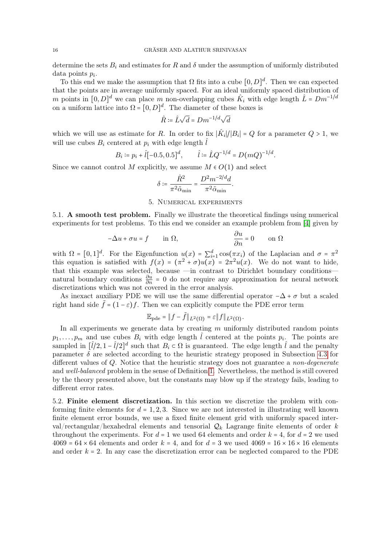determine the sets  $B_i$  and estimates for R and  $\delta$  under the assumption of uniformly distributed  $data$  points  $p_i$ .

To this end we make the assumption that  $\Omega$  fits into a cube  $[0, D]^d$ . Then we can expected that the points are in average uniformly spaced. For an ideal uniformly spaced distribution of m points in  $[0, D]^d$  we can place m non-overlapping cubes  $\hat{K}_i$  with edge length  $\hat{L} = Dm^{-1/d}$ on a uniform lattice into  $\Omega = [0, D]^d$ . The diameter of these boxes is

$$
\hat{R} \coloneqq \hat{L}\sqrt{d} = Dm^{-1/d}\sqrt{d}
$$

which we will use as estimate for R. In order to fix  $|\hat{K}_i|/|B_i| = Q$  for a parameter  $Q > 1$ , we will use cubes  $B_i$  centered at  $p_i$  with edge length  $l$ 

$$
B_i \coloneqq p_i + \hat{l} [-0.5, 0.5]^d, \qquad \hat{l} \coloneqq \hat{L} Q^{-1/d} = D(mQ)^{-1/d}.
$$

Since we cannot control M explicitly, we assume  $M \in O(1)$  and select

$$
\delta \coloneqq \frac{\hat{R}^2}{\pi^2 \tilde{\alpha}_{\min}} = \frac{D^2 m^{-2/d} d}{\pi^2 \tilde{\alpha}_{\min}}
$$

.

## 5. Numerical experiments

<span id="page-15-0"></span>5.1. A smooth test problem. Finally we illustrate the theoretical findings using numerical experiments for test problems. To this end we consider an example problem from [\[4\]](#page-19-12) given by

$$
-\Delta u + \sigma u = f \qquad \text{in } \Omega, \qquad \frac{\partial u}{\partial n} = 0 \qquad \text{on } \Omega
$$

with  $\Omega = [0, 1]^d$ . For the Eigenfunction  $u(x) = \sum_{i=1}^d \cos(\pi x_i)$  of the Laplacian and  $\sigma = \pi^2$ this equation is satisfied with  $f(x) = (\pi^2 + \sigma)u(x) = 2\pi^2u(x)$ . We do not want to hide, that this example was selected, because —in contrast to Dirichlet boundary conditions natural boundary conditions  $\frac{\partial u}{\partial n} = 0$  do not require any approximation for neural network discretizations which was not covered in the error analysis.

As inexact auxiliary PDE we will use the same differential operator  $-\Delta + \sigma$  but a scaled right hand side  $\tilde{f} = (1 - \varepsilon)f$ . Then we can explicitly compute the PDE error term

$$
\mathbb{E}_{\rm pde}=\|f-\tilde{f}\|_{L^2(\Omega)}=\varepsilon\|f\|_{L^2(\Omega)}.
$$

In all experiments we generate data by creating m uniformly distributed random points  $p_1, \ldots, p_m$  and use cubes  $B_i$  with edge length  $\hat{l}$  centered at the points  $p_i$ . The points are sampled in  $[\hat{l}/2, 1 - \hat{l}/2]^d$  such that  $B_i \subset \Omega$  is guaranteed. The edge length  $\hat{l}$  and the penalty parameter  $\delta$  are selected according to the heuristic strategy proposed in Subsection [4.3](#page-14-1) for different values of Q. Notice that the heuristic strategy does not guarantee a non-degenerate and well-balanced problem in the sense of Definition [1.](#page-9-1) Nevertheless, the method is still covered by the theory presented above, but the constants may blow up if the strategy fails, leading to different error rates.

5.2. Finite element discretization. In this section we discretize the problem with conforming finite elements for  $d = 1, 2, 3$ . Since we are not interested in illustrating well known finite element error bounds, we use a fixed finite element grid with uniformly spaced interval/rectangular/hexahedral elements and tensorial  $\mathcal{Q}_k$  Lagrange finite elements of order k throughout the experiments. For  $d = 1$  we used 64 elements and order  $k = 4$ , for  $d = 2$  we used  $4069 = 64 \times 64$  elements and order  $k = 4$ , and for  $d = 3$  we used  $4069 = 16 \times 16 \times 16$  elements and order  $k = 2$ . In any case the discretization error can be neglected compared to the PDE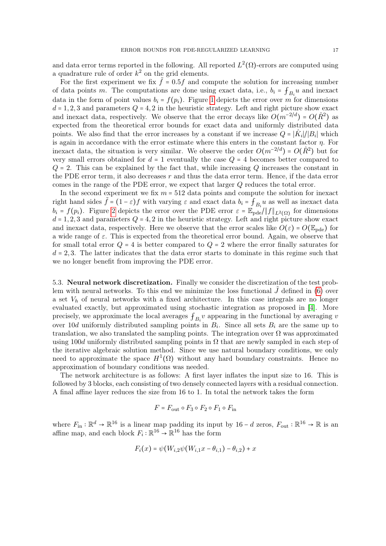and data error terms reported in the following. All reported  $L^2(\Omega)$ -errors are computed using a quadrature rule of order  $k^2$  on the grid elements.

For the first experiment we fix  $\tilde{f} = 0.5f$  and compute the solution for increasing number of data points m. The computations are done using exact data, i.e.,  $b_i = f_{B_i} u$  and inexact data in the form of point values  $b_i = f(p_i)$ . Figure [1](#page-17-0) depicts the error over m for dimensions  $d = 1, 2, 3$  and parameters  $Q = 4, 2$  in the heuristic strategy. Left and right picture show exact and inexact data, respectively. We observe that the error decays like  $O(m^{-2/d}) = O(\hat{R}^2)$  as expected from the theoretical error bounds for exact data and uniformly distributed data points. We also find that the error increases by a constant if we increase  $Q = |\hat{K}_i|/|B_i|$  which is again in accordance with the error estimate where this enters in the constant factor  $\eta$ . For inexact data, the situation is very similar. We observe the order  $O(m^{-2/d}) = O(\hat{R}^2)$  but for very small errors obtained for  $d = 1$  eventually the case  $Q = 4$  becomes better compared to  $Q = 2$ . This can be explained by the fact that, while increasing  $Q$  increases the constant in the PDE error term, it also decreases  $r$  and thus the data error term. Hence, if the data error comes in the range of the PDE error, we expect that larger Q reduces the total error.

In the second experiment we fix  $m = 512$  data points and compute the solution for inexact right hand sides  $\tilde{f} = (1 - \varepsilon)f$  with varying  $\varepsilon$  and exact data  $b_i = f_{B_i} u$  as well as inexact data  $b_i = f(p_i)$ . Figure [2](#page-17-1) depicts the error over the PDE error  $\varepsilon = \mathbb{E}_{\text{pd}}[f||f||_{L^2(\Omega)}$  for dimensions  $d = 1, 2, 3$  and parameters  $Q = 4, 2$  in the heuristic strategy. Left and right picture show exact and inexact data, respectively. Here we observe that the error scales like  $O(\varepsilon) = O(\mathbb{E}_{pde})$  for a wide range of  $\varepsilon$ . This is expected from the theoretical error bound. Again, we observe that for small total error  $Q = 4$  is better compared to  $Q = 2$  where the error finally saturates for  $d = 2, 3$ . The latter indicates that the data error starts to dominate in this regime such that we no longer benefit from improving the PDE error.

5.3. Neural network discretization. Finally we consider the discretization of the test problem with neural networks. To this end we minimize the loss functional  $\tilde{J}$  defined in [\(6\)](#page-4-2) over a set  $V<sub>h</sub>$  of neural networks with a fixed architecture. In this case integrals are no longer evaluated exactly, but approximated using stochastic integration as proposed in [\[4\]](#page-19-12). More precisely, we approximate the local averages  $f_{B_i}v$  appearing in the functional by averaging v over 10d uniformly distributed sampling points in  $B_i$ . Since all sets  $B_i$  are the same up to translation, we also translated the sampling points. The integration over  $\Omega$  was approximated using 100d uniformly distributed sampling points in  $\Omega$  that are newly sampled in each step of the iterative algebraic solution method. Since we use natural boundary conditions, we only need to approximate the space  $H^1(\Omega)$  without any hard boundary constraints. Hence no approximation of boundary conditions was needed.

The network architecture is as follows: A first layer inflates the input size to 16. This is followed by 3 blocks, each consisting of two densely connected layers with a residual connection. A final affine layer reduces the size from 16 to 1. In total the network takes the form

$$
F = F_{\text{out}} \circ F_3 \circ F_2 \circ F_1 \circ F_{\text{in}}
$$

where  $F_{\text{in}} : \mathbb{R}^d \to \mathbb{R}^{16}$  is a linear map padding its input by  $16 - d$  zeros,  $F_{\text{out}} : \mathbb{R}^{16} \to \mathbb{R}$  is an affine map, and each block  $F_i : \mathbb{R}^{16} \to \mathbb{R}^{16}$  has the form

$$
F_i(x) = \psi(W_{i,2}\psi(W_{i,1}x - \theta_{i,1}) - \theta_{i,2}) + x
$$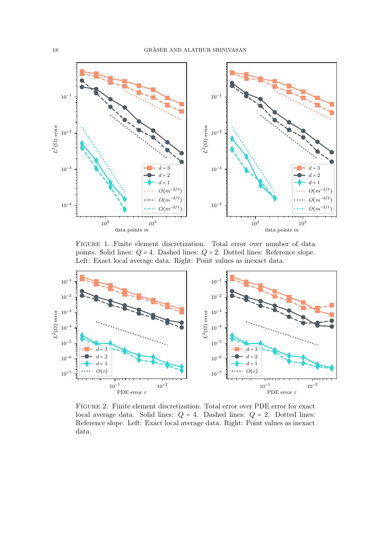

<span id="page-17-0"></span>Figure 1. Finite element discretization. Total error over number of data points. Solid lines:  $Q = 4$ . Dashed lines:  $Q = 2$ . Dotted lines: Reference slope. Left: Exact local average data. Right: Point values as inexact data.



<span id="page-17-1"></span>Figure 2. Finite element discretization. Total error over PDE error for exact local average data. Solid lines:  $Q = 4$ . Dashed lines:  $Q = 2$ . Dotted lines: Reference slope. Left: Exact local average data. Right: Point values as inexact data.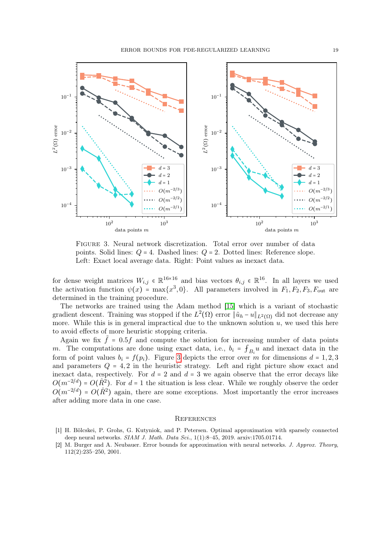

<span id="page-18-2"></span>Figure 3. Neural network discretization. Total error over number of data points. Solid lines:  $Q = 4$ . Dashed lines:  $Q = 2$ . Dotted lines: Reference slope. Left: Exact local average data. Right: Point values as inexact data.

for dense weight matrices  $W_{i,j} \in \mathbb{R}^{16 \times 16}$  and bias vectors  $\theta_{i,j} \in \mathbb{R}^{16}$ . In all layers we used the activation function  $\psi(x) = \max\{x^3, 0\}$ . All parameters involved in  $F_1, F_2, F_3, F_{\text{out}}$  are determined in the training procedure.

The networks are trained using the Adam method [\[15\]](#page-19-25) which is a variant of stochastic gradient descent. Training was stopped if the  $L^2(\Omega)$  error  $\|\tilde{u}_h - u\|_{L^2(\Omega)}$  did not decrease any more. While this is in general impractical due to the unknown solution  $u$ , we used this here to avoid effects of more heuristic stopping criteria.

Again we fix  $\tilde{f} = 0.5f$  and compute the solution for increasing number of data points m. The computations are done using exact data, i.e.,  $b_i = f_{B_i} u$  and inexact data in the form of point values  $b_i = f(p_i)$ . Figure [3](#page-18-2) depicts the error over m for dimensions  $d = 1, 2, 3$ and parameters  $Q = 4, 2$  in the heuristic strategy. Left and right picture show exact and inexact data, respectively. For  $d = 2$  and  $d = 3$  we again observe that the error decays like  $O(m^{-2/d}) = O(\hat{R}^2)$ . For  $d = 1$  the situation is less clear. While we roughly observe the order  $O(m^{-2/d}) = O(\hat{R}^2)$  again, there are some exceptions. Most importantly the error increases after adding more data in one case.

#### **REFERENCES**

- <span id="page-18-0"></span>[1] H. Bölcskei, P. Grohs, G. Kutyniok, and P. Petersen. Optimal approximation with sparsely connected deep neural networks. SIAM J. Math. Data Sci., 1(1):8-45, 2019. arxiv:1705.01714.
- <span id="page-18-1"></span>[2] M. Burger and A. Neubauer. Error bounds for approximation with neural networks. J. Approx. Theory, 112(2):235–250, 2001.